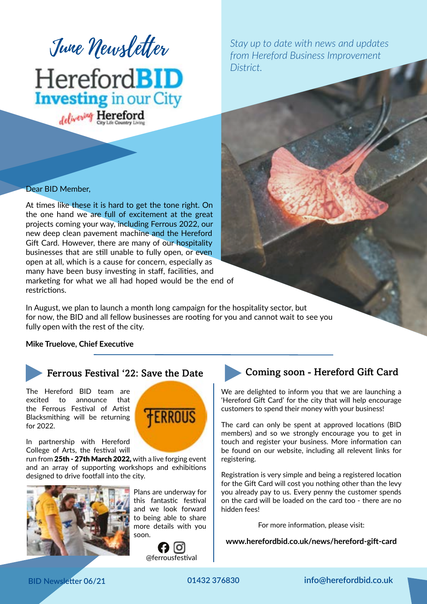

delivering Hereford

#### Dear BID Member,

At times like these it is hard to get the tone right. On the one hand we are full of excitement at the great projects coming your way, including Ferrous 2022, our new deep clean pavement machine and the Hereford Gift Card. However, there are many of our hospitality businesses that are still unable to fully open, or even open at all, which is a cause for concern, especially as many have been busy investing in staff, facilities, and marketing for what we all had hoped would be the end of restrictions.

In August, we plan to launch a month long campaign for the hospitality sector, but for now, the BID and all fellow businesses are rooting for you and cannot wait to see you fully open with the rest of the city.

#### **Mike Truelove, Chief Executive**



Ferrous Festival '22: Save the Date

The Hereford BID team are excited to announce that the Ferrous Festival of Artist Blacksmithing will be returning for 2022.

In partnership with Hereford College of Arts, the festival will

run from 25th - 27th March 2022, with a live forging event and an array of supporting workshops and exhibitions designed to drive footfall into the city.



Plans are underway for this fantastic festival and we look forward to being able to share more details with you soon.

**ERROUS** 



# **June Newsletter** Stay up to date with news and updates *from Hereford Business Improvement District.*

## Coming soon - Hereford Gift Card

We are delighted to inform you that we are launching a 'Hereford Gift Card' for the city that will help encourage customers to spend their money with your business!

The card can only be spent at approved locations (BID members) and so we strongly encourage you to get in touch and register your business. More information can be found on our website, including all relevent links for registering.

Registration is very simple and being a registered location for the Gift Card will cost you nothing other than the levy you already pay to us. Every penny the customer spends on the card will be loaded on the card too - there are no hidden fees!

For more information, please visit:

**www.herefordbid.co.uk/news/hereford-gift-card**